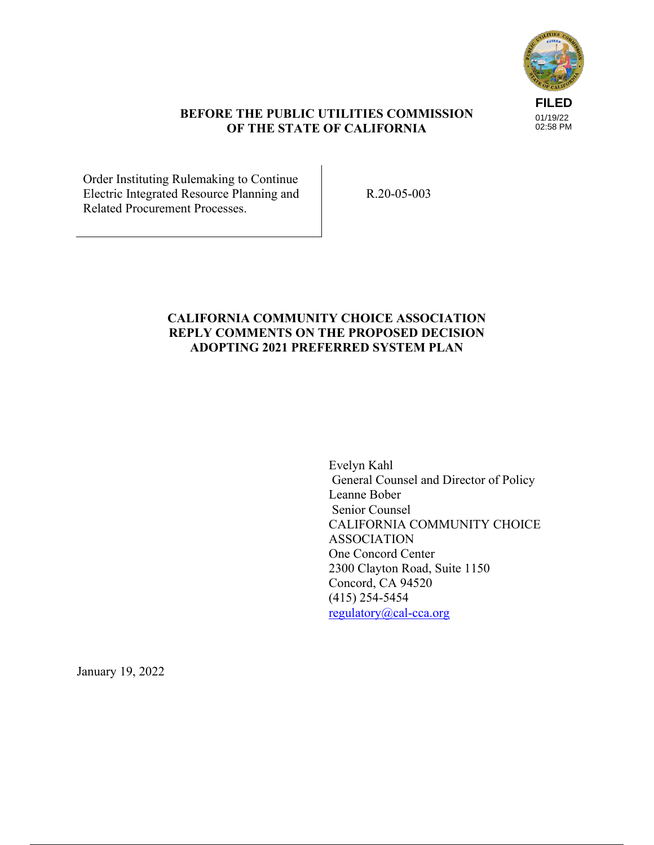

### **BEFORE THE PUBLIC UTILITIES COMMISSION OF THE STATE OF CALIFORNIA**

Order Instituting Rulemaking to Continue Electric Integrated Resource Planning and Related Procurement Processes.

R.20-05-003

## **CALIFORNIA COMMUNITY CHOICE ASSOCIATION REPLY COMMENTS ON THE PROPOSED DECISION ADOPTING 2021 PREFERRED SYSTEM PLAN**

Evelyn Kahl General Counsel and Director of Policy Leanne Bober Senior Counsel CALIFORNIA COMMUNITY CHOICE ASSOCIATION One Concord Center 2300 Clayton Road, Suite 1150 Concord, CA 94520 (415) 254-5454 regulatory@cal-cca.org

January 19, 2022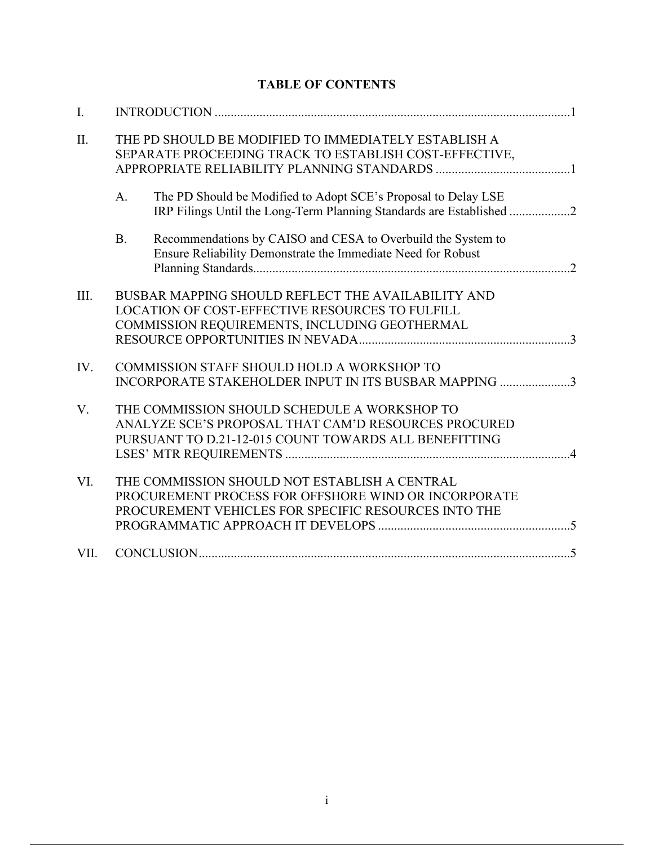|  | <b>TABLE OF CONTENTS</b> |
|--|--------------------------|
|--|--------------------------|

| I.   |                                                                                                                                                               |  |
|------|---------------------------------------------------------------------------------------------------------------------------------------------------------------|--|
| II.  | THE PD SHOULD BE MODIFIED TO IMMEDIATELY ESTABLISH A<br>SEPARATE PROCEEDING TRACK TO ESTABLISH COST-EFFECTIVE,                                                |  |
|      | The PD Should be Modified to Adopt SCE's Proposal to Delay LSE<br>A.<br>IRP Filings Until the Long-Term Planning Standards are Established 2                  |  |
|      | <b>B.</b><br>Recommendations by CAISO and CESA to Overbuild the System to<br>Ensure Reliability Demonstrate the Immediate Need for Robust                     |  |
| III. | BUSBAR MAPPING SHOULD REFLECT THE AVAILABILITY AND<br><b>LOCATION OF COST-EFFECTIVE RESOURCES TO FULFILL</b><br>COMMISSION REQUIREMENTS, INCLUDING GEOTHERMAL |  |
| IV.  | COMMISSION STAFF SHOULD HOLD A WORKSHOP TO<br>INCORPORATE STAKEHOLDER INPUT IN ITS BUSBAR MAPPING 3                                                           |  |
| V.   | THE COMMISSION SHOULD SCHEDULE A WORKSHOP TO<br>ANALYZE SCE'S PROPOSAL THAT CAM'D RESOURCES PROCURED<br>PURSUANT TO D.21-12-015 COUNT TOWARDS ALL BENEFITTING |  |
| VI.  | THE COMMISSION SHOULD NOT ESTABLISH A CENTRAL<br>PROCUREMENT PROCESS FOR OFFSHORE WIND OR INCORPORATE<br>PROCUREMENT VEHICLES FOR SPECIFIC RESOURCES INTO THE |  |
| VII. |                                                                                                                                                               |  |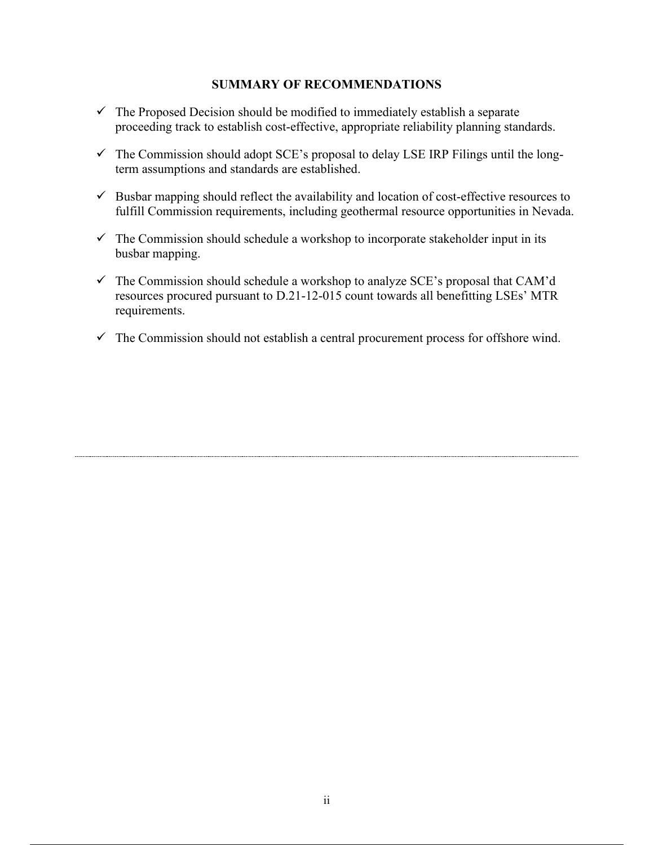#### **SUMMARY OF RECOMMENDATIONS**

- $\checkmark$  The Proposed Decision should be modified to immediately establish a separate proceeding track to establish cost-effective, appropriate reliability planning standards.
- $\checkmark$  The Commission should adopt SCE's proposal to delay LSE IRP Filings until the longterm assumptions and standards are established.
- $\checkmark$  Busbar mapping should reflect the availability and location of cost-effective resources to fulfill Commission requirements, including geothermal resource opportunities in Nevada.
- $\checkmark$  The Commission should schedule a workshop to incorporate stakeholder input in its busbar mapping.
- $\checkmark$  The Commission should schedule a workshop to analyze SCE's proposal that CAM'd resources procured pursuant to D.21-12-015 count towards all benefitting LSEs' MTR requirements.
- $\checkmark$  The Commission should not establish a central procurement process for offshore wind.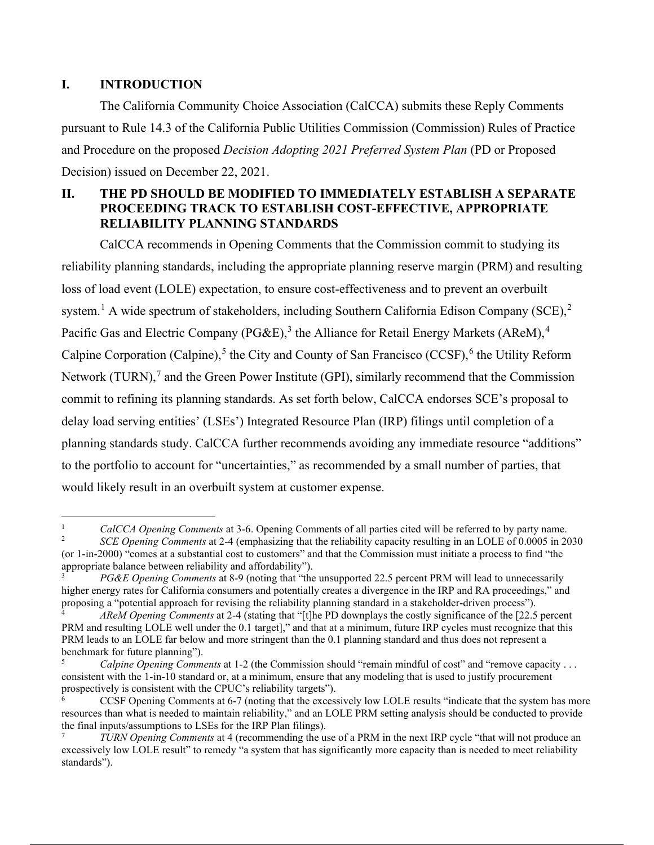### **I. INTRODUCTION**

The California Community Choice Association (CalCCA) submits these Reply Comments pursuant to Rule 14.3 of the California Public Utilities Commission (Commission) Rules of Practice and Procedure on the proposed *Decision Adopting 2021 Preferred System Plan* (PD or Proposed Decision) issued on December 22, 2021.

## **II. THE PD SHOULD BE MODIFIED TO IMMEDIATELY ESTABLISH A SEPARATE PROCEEDING TRACK TO ESTABLISH COST-EFFECTIVE, APPROPRIATE RELIABILITY PLANNING STANDARDS**

CalCCA recommends in Opening Comments that the Commission commit to studying its reliability planning standards, including the appropriate planning reserve margin (PRM) and resulting loss of load event (LOLE) expectation, to ensure cost-effectiveness and to prevent an overbuilt system.<sup>1</sup> A wide spectrum of stakeholders, including Southern California Edison Company (SCE),<sup>2</sup> Pacific Gas and Electric Company (PG&E),<sup>3</sup> the Alliance for Retail Energy Markets (AReM),<sup>4</sup> Calpine Corporation (Calpine),<sup>5</sup> the City and County of San Francisco (CCSF),<sup>6</sup> the Utility Reform Network (TURN),<sup>7</sup> and the Green Power Institute (GPI), similarly recommend that the Commission commit to refining its planning standards. As set forth below, CalCCA endorses SCE's proposal to delay load serving entities' (LSEs') Integrated Resource Plan (IRP) filings until completion of a planning standards study. CalCCA further recommends avoiding any immediate resource "additions" to the portfolio to account for "uncertainties," as recommended by a small number of parties, that would likely result in an overbuilt system at customer expense.

<sup>1</sup> *CalCCA Opening Comments* at 3-6. Opening Comments of all parties cited will be referred to by party name.

<sup>2</sup> *SCE Opening Comments* at 2-4 (emphasizing that the reliability capacity resulting in an LOLE of 0.0005 in 2030 (or 1-in-2000) "comes at a substantial cost to customers" and that the Commission must initiate a process to find "the appropriate balance between reliability and affordability").

<sup>3</sup> *PG&E Opening Comments* at 8-9 (noting that "the unsupported 22.5 percent PRM will lead to unnecessarily higher energy rates for California consumers and potentially creates a divergence in the IRP and RA proceedings," and proposing a "potential approach for revising the reliability planning standard in a stakeholder-driven process").

<sup>4</sup> *AReM Opening Comments* at 2-4 (stating that "[t]he PD downplays the costly significance of the [22.5 percent PRM and resulting LOLE well under the 0.1 target]," and that at a minimum, future IRP cycles must recognize that this PRM leads to an LOLE far below and more stringent than the 0.1 planning standard and thus does not represent a benchmark for future planning").

<sup>5</sup> *Calpine Opening Comments* at 1-2 (the Commission should "remain mindful of cost" and "remove capacity . . . consistent with the 1-in-10 standard or, at a minimum, ensure that any modeling that is used to justify procurement prospectively is consistent with the CPUC's reliability targets").

<sup>6</sup> CCSF Opening Comments at 6-7 (noting that the excessively low LOLE results "indicate that the system has more resources than what is needed to maintain reliability," and an LOLE PRM setting analysis should be conducted to provide the final inputs/assumptions to LSEs for the IRP Plan filings). 7

*TURN Opening Comments* at 4 (recommending the use of a PRM in the next IRP cycle "that will not produce an excessively low LOLE result" to remedy "a system that has significantly more capacity than is needed to meet reliability standards").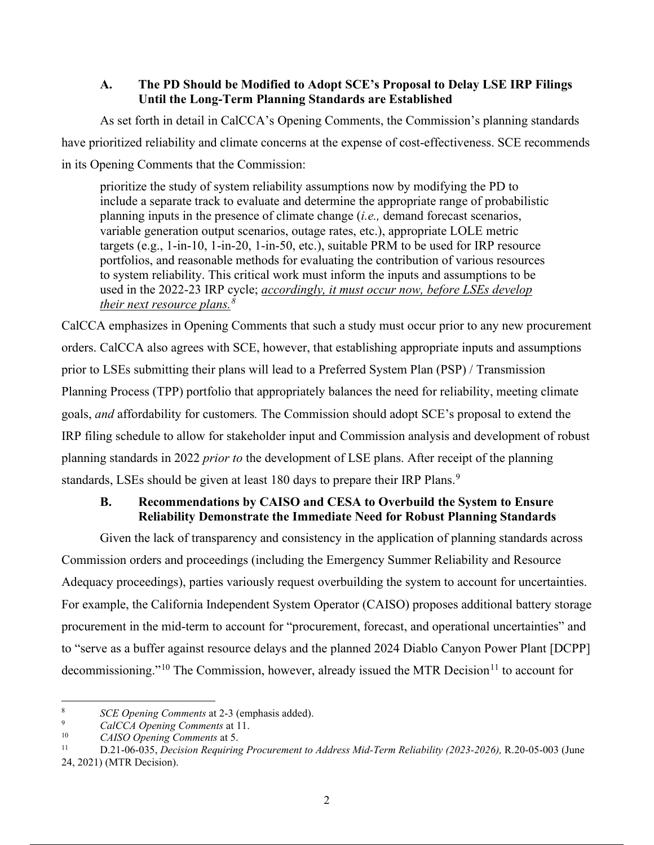### **A. The PD Should be Modified to Adopt SCE's Proposal to Delay LSE IRP Filings Until the Long-Term Planning Standards are Established**

As set forth in detail in CalCCA's Opening Comments, the Commission's planning standards have prioritized reliability and climate concerns at the expense of cost-effectiveness. SCE recommends in its Opening Comments that the Commission:

prioritize the study of system reliability assumptions now by modifying the PD to include a separate track to evaluate and determine the appropriate range of probabilistic planning inputs in the presence of climate change (*i.e.,* demand forecast scenarios, variable generation output scenarios, outage rates, etc.), appropriate LOLE metric targets (e.g., 1-in-10, 1-in-20, 1-in-50, etc.), suitable PRM to be used for IRP resource portfolios, and reasonable methods for evaluating the contribution of various resources to system reliability. This critical work must inform the inputs and assumptions to be used in the 2022-23 IRP cycle; *accordingly, it must occur now, before LSEs develop their next resource plans.<sup>8</sup>*

CalCCA emphasizes in Opening Comments that such a study must occur prior to any new procurement orders. CalCCA also agrees with SCE, however, that establishing appropriate inputs and assumptions prior to LSEs submitting their plans will lead to a Preferred System Plan (PSP) / Transmission Planning Process (TPP) portfolio that appropriately balances the need for reliability, meeting climate goals, *and* affordability for customers*.* The Commission should adopt SCE's proposal to extend the IRP filing schedule to allow for stakeholder input and Commission analysis and development of robust planning standards in 2022 *prior to* the development of LSE plans. After receipt of the planning standards, LSEs should be given at least 180 days to prepare their IRP Plans.<sup>9</sup>

# **B. Recommendations by CAISO and CESA to Overbuild the System to Ensure Reliability Demonstrate the Immediate Need for Robust Planning Standards**

Given the lack of transparency and consistency in the application of planning standards across Commission orders and proceedings (including the Emergency Summer Reliability and Resource Adequacy proceedings), parties variously request overbuilding the system to account for uncertainties. For example, the California Independent System Operator (CAISO) proposes additional battery storage procurement in the mid-term to account for "procurement, forecast, and operational uncertainties" and to "serve as a buffer against resource delays and the planned 2024 Diablo Canyon Power Plant [DCPP] decommissioning."<sup>10</sup> The Commission, however, already issued the MTR Decision<sup>11</sup> to account for

<sup>8</sup> <sup>8</sup> SCE Opening Comments at 2-3 (emphasis added).<br><sup>9</sup> CalCCA Opening Comments at 11

<sup>9</sup> *CalCCA Opening Comments* at 11.

<sup>10</sup> *CAISO Opening Comments* at 5.

<sup>11</sup> D.21-06-035, *Decision Requiring Procurement to Address Mid-Term Reliability (2023-2026),* R.20-05-003 (June 24, 2021) (MTR Decision).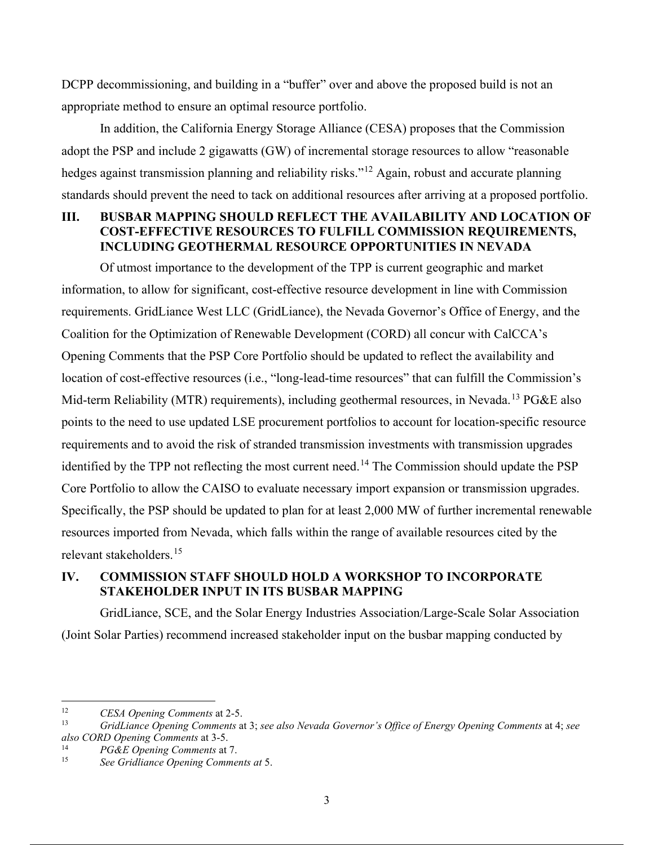DCPP decommissioning, and building in a "buffer" over and above the proposed build is not an appropriate method to ensure an optimal resource portfolio.

In addition, the California Energy Storage Alliance (CESA) proposes that the Commission adopt the PSP and include 2 gigawatts (GW) of incremental storage resources to allow "reasonable hedges against transmission planning and reliability risks."<sup>12</sup> Again, robust and accurate planning standards should prevent the need to tack on additional resources after arriving at a proposed portfolio.

## **III. BUSBAR MAPPING SHOULD REFLECT THE AVAILABILITY AND LOCATION OF COST-EFFECTIVE RESOURCES TO FULFILL COMMISSION REQUIREMENTS, INCLUDING GEOTHERMAL RESOURCE OPPORTUNITIES IN NEVADA**

Of utmost importance to the development of the TPP is current geographic and market information, to allow for significant, cost-effective resource development in line with Commission requirements. GridLiance West LLC (GridLiance), the Nevada Governor's Office of Energy, and the Coalition for the Optimization of Renewable Development (CORD) all concur with CalCCA's Opening Comments that the PSP Core Portfolio should be updated to reflect the availability and location of cost-effective resources (i.e., "long-lead-time resources" that can fulfill the Commission's Mid-term Reliability (MTR) requirements), including geothermal resources, in Nevada.<sup>13</sup> PG&E also points to the need to use updated LSE procurement portfolios to account for location-specific resource requirements and to avoid the risk of stranded transmission investments with transmission upgrades identified by the TPP not reflecting the most current need.<sup>14</sup> The Commission should update the PSP Core Portfolio to allow the CAISO to evaluate necessary import expansion or transmission upgrades. Specifically, the PSP should be updated to plan for at least 2,000 MW of further incremental renewable resources imported from Nevada, which falls within the range of available resources cited by the relevant stakeholders.<sup>15</sup>

# **IV. COMMISSION STAFF SHOULD HOLD A WORKSHOP TO INCORPORATE STAKEHOLDER INPUT IN ITS BUSBAR MAPPING**

GridLiance, SCE, and the Solar Energy Industries Association/Large-Scale Solar Association (Joint Solar Parties) recommend increased stakeholder input on the busbar mapping conducted by

<sup>12</sup> *CESA Opening Comments* at 2-5.

<sup>13</sup> *GridLiance Opening Comments* at 3; *see also Nevada Governor's Office of Energy Opening Comments* at 4; *see also CORD Opening Comments* at 3-5.

<sup>14</sup> *PG&E Opening Comments* at 7.

<sup>15</sup> *See Gridliance Opening Comments at* 5.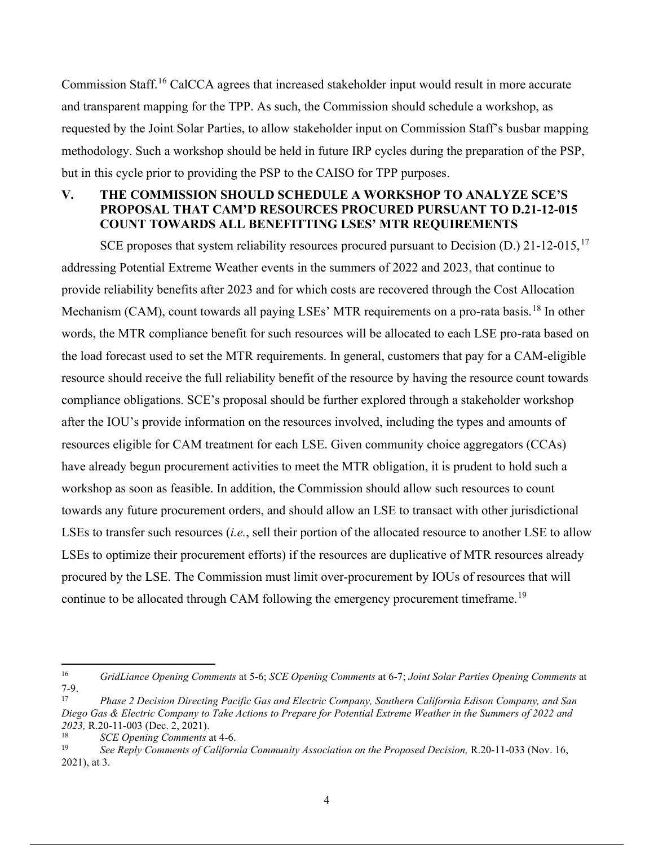Commission Staff.<sup>16</sup> CalCCA agrees that increased stakeholder input would result in more accurate and transparent mapping for the TPP. As such, the Commission should schedule a workshop, as requested by the Joint Solar Parties, to allow stakeholder input on Commission Staff's busbar mapping methodology. Such a workshop should be held in future IRP cycles during the preparation of the PSP, but in this cycle prior to providing the PSP to the CAISO for TPP purposes.

### **V. THE COMMISSION SHOULD SCHEDULE A WORKSHOP TO ANALYZE SCE'S PROPOSAL THAT CAM'D RESOURCES PROCURED PURSUANT TO D.21-12-015 COUNT TOWARDS ALL BENEFITTING LSES' MTR REQUIREMENTS**

SCE proposes that system reliability resources procured pursuant to Decision (D.) 21-12-015,  $^{17}$ addressing Potential Extreme Weather events in the summers of 2022 and 2023, that continue to provide reliability benefits after 2023 and for which costs are recovered through the Cost Allocation Mechanism (CAM), count towards all paying LSEs' MTR requirements on a pro-rata basis.<sup>18</sup> In other words, the MTR compliance benefit for such resources will be allocated to each LSE pro-rata based on the load forecast used to set the MTR requirements. In general, customers that pay for a CAM-eligible resource should receive the full reliability benefit of the resource by having the resource count towards compliance obligations. SCE's proposal should be further explored through a stakeholder workshop after the IOU's provide information on the resources involved, including the types and amounts of resources eligible for CAM treatment for each LSE. Given community choice aggregators (CCAs) have already begun procurement activities to meet the MTR obligation, it is prudent to hold such a workshop as soon as feasible. In addition, the Commission should allow such resources to count towards any future procurement orders, and should allow an LSE to transact with other jurisdictional LSEs to transfer such resources (*i.e.*, sell their portion of the allocated resource to another LSE to allow LSEs to optimize their procurement efforts) if the resources are duplicative of MTR resources already procured by the LSE. The Commission must limit over-procurement by IOUs of resources that will continue to be allocated through CAM following the emergency procurement timeframe.<sup>19</sup>

<sup>16</sup> *GridLiance Opening Comments* at 5-6; *SCE Opening Comments* at 6-7; *Joint Solar Parties Opening Comments* at 7-9.

<sup>17</sup> *Phase 2 Decision Directing Pacific Gas and Electric Company, Southern California Edison Company, and San Diego Gas & Electric Company to Take Actions to Prepare for Potential Extreme Weather in the Summers of 2022 and*  2023, R.20-11-003 (Dec. 2, 2021).<br><sup>18</sup> SCE Opening Comments s

<sup>18</sup> *SCE Opening Comments* at 4-6.

<sup>19</sup> *See Reply Comments of California Community Association on the Proposed Decision,* R.20-11-033 (Nov. 16, 2021), at 3.